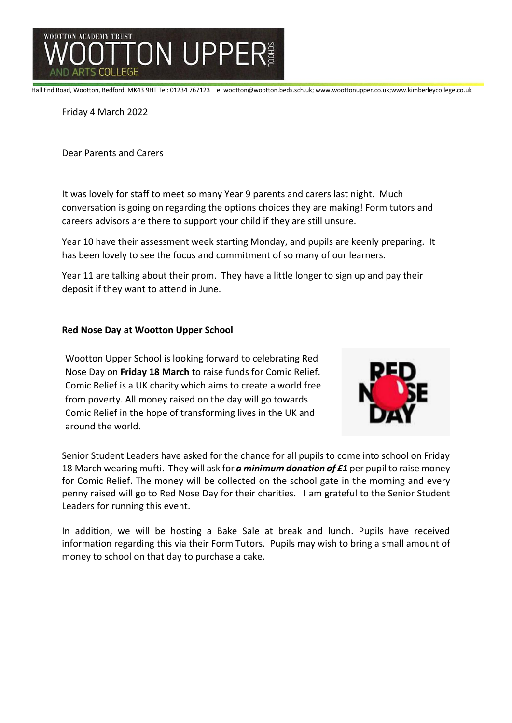

Hall End Road, Wootton, Bedford, MK43 9HT Tel: 01234 767123 e: wootton@wootton.beds.sch.uk; www.woottonupper.co.uk;www.kimberleycollege.co.uk

Friday 4 March 2022

Dear Parents and Carers

It was lovely for staff to meet so many Year 9 parents and carers last night. Much conversation is going on regarding the options choices they are making! Form tutors and careers advisors are there to support your child if they are still unsure.

Year 10 have their assessment week starting Monday, and pupils are keenly preparing. It has been lovely to see the focus and commitment of so many of our learners.

Year 11 are talking about their prom. They have a little longer to sign up and pay their deposit if they want to attend in June.

## **Red Nose Day at Wootton Upper School**

Wootton Upper School is looking forward to celebrating Red Nose Day on **Friday 18 March** to raise funds for Comic Relief. Comic Relief is a UK charity which aims to create a world free from poverty. All money raised on the day will go towards Comic Relief in the hope of transforming lives in the UK and around the world.



Senior Student Leaders have asked for the chance for all pupils to come into school on Friday 18 March wearing mufti. They will ask for *a minimum donation of £1* per pupil to raise money for Comic Relief. The money will be collected on the school gate in the morning and every penny raised will go to Red Nose Day for their charities. I am grateful to the Senior Student Leaders for running this event.

In addition, we will be hosting a Bake Sale at break and lunch. Pupils have received information regarding this via their Form Tutors. Pupils may wish to bring a small amount of money to school on that day to purchase a cake.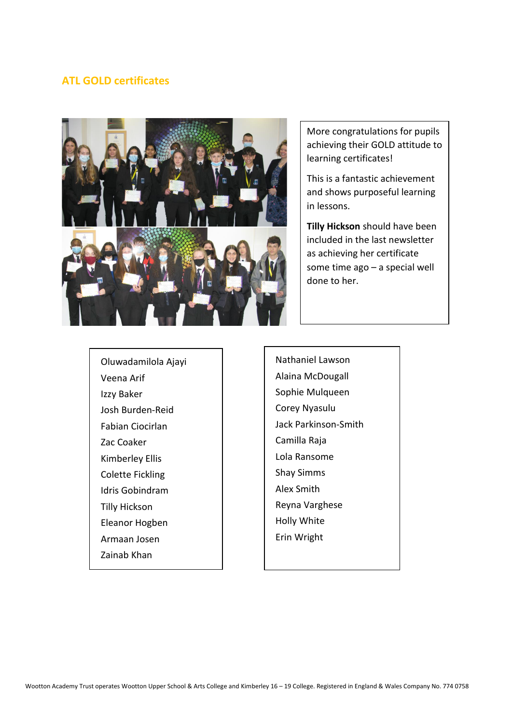# **ATL GOLD certificates**



More congratulations for pupils achieving their GOLD attitude to learning certificates!

This is a fantastic achievement and shows purposeful learning in lessons.

**Tilly Hickson** should have been included in the last newsletter as achieving her certificate some time ago – a special well done to her.

Oluwadamilola Ajayi Veena Arif Izzy Baker Josh Burden-Reid Fabian Ciocirlan Zac Coaker Kimberley Ellis Colette Fickling Idris Gobindram Tilly Hickson Eleanor Hogben Armaan Josen

Zainab Khan

Nathaniel Lawson Alaina McDougall Sophie Mulqueen Corey Nyasulu Jack Parkinson-Smith Camilla Raja Lola Ransome Shay Simms Alex Smith Reyna Varghese Holly White Erin Wright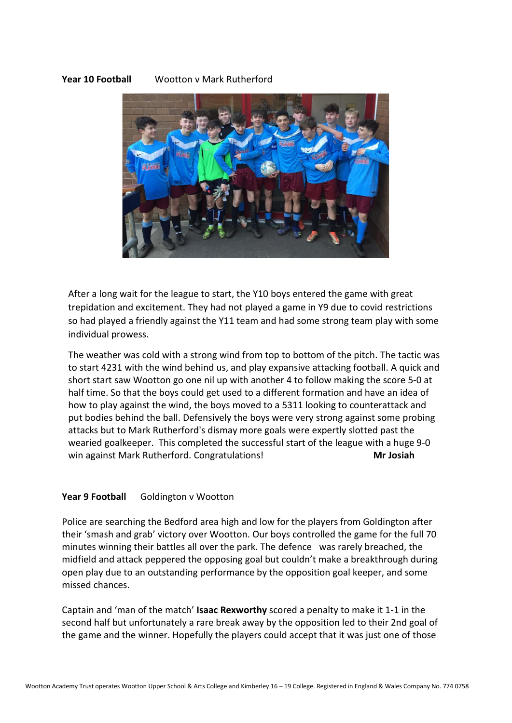## **Year 10 Football** Wootton v Mark Rutherford



After a long wait for the league to start, the Y10 boys entered the game with great trepidation and excitement. They had not played a game in Y9 due to covid restrictions so had played a friendly against the Y11 team and had some strong team play with some individual prowess.

The weather was cold with a strong wind from top to bottom of the pitch. The tactic was to start 4231 with the wind behind us, and play expansive attacking football. A quick and short start saw Wootton go one nil up with another 4 to follow making the score 5-0 at half time. So that the boys could get used to a different formation and have an idea of how to play against the wind, the boys moved to a 5311 looking to counterattack and put bodies behind the ball. Defensively the boys were very strong against some probing attacks but to Mark Rutherford's dismay more goals were expertly slotted past the wearied goalkeeper. This completed the successful start of the league with a huge 9-0 win against Mark Rutherford. Congratulations! **Mr Josiah**

#### Year 9 Football Goldington v Wootton

Police are searching the Bedford area high and low for the players from Goldington after their 'smash and grab' victory over Wootton. Our boys controlled the game for the full 70 minutes winning their battles all over the park. The defence was rarely breached, the midfield and attack peppered the opposing goal but couldn't make a breakthrough during open play due to an outstanding performance by the opposition goal keeper, and some missed chances.

Captain and 'man of the match' **Isaac Rexworthy** scored a penalty to make it 1-1 in the second half but unfortunately a rare break away by the opposition led to their 2nd goal of the game and the winner. Hopefully the players could accept that it was just one of those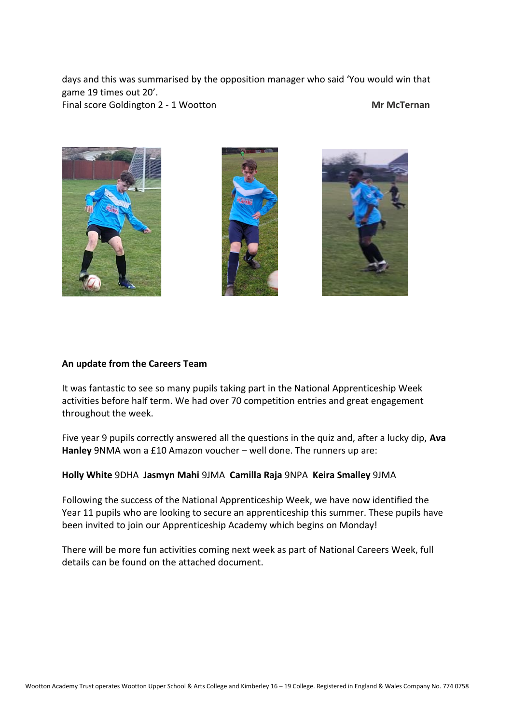days and this was summarised by the opposition manager who said 'You would win that game 19 times out 20'. Final score Goldington 2 - 1 Wootton **Mr McTernan** 







## **An update from the Careers Team**

It was fantastic to see so many pupils taking part in the National Apprenticeship Week activities before half term. We had over 70 competition entries and great engagement throughout the week.

Five year 9 pupils correctly answered all the questions in the quiz and, after a lucky dip, **Ava Hanley** 9NMA won a £10 Amazon voucher – well done. The runners up are:

## **Holly White** 9DHA **Jasmyn Mahi** 9JMA **Camilla Raja** 9NPA **Keira Smalley** 9JMA

Following the success of the National Apprenticeship Week, we have now identified the Year 11 pupils who are looking to secure an apprenticeship this summer. These pupils have been invited to join our Apprenticeship Academy which begins on Monday!

There will be more fun activities coming next week as part of National Careers Week, full details can be found on the attached document.